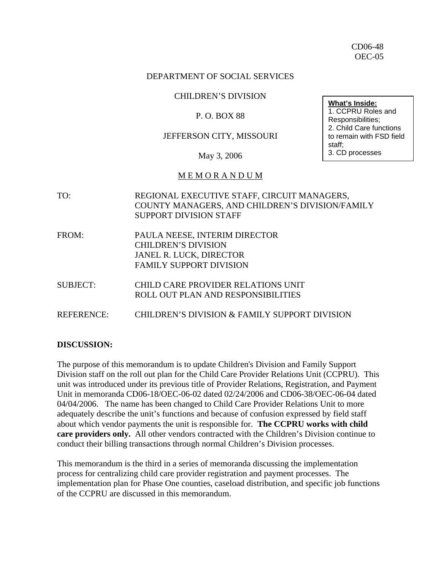#### DEPARTMENT OF SOCIAL SERVICES

#### CHILDREN'S DIVISION

#### P. O. BOX 88

#### JEFFERSON CITY, MISSOURI

May 3, 2006

#### M E M O R A N D U M

| TO:               | REGIONAL EXECUTIVE STAFF, CIRCUIT MANAGERS,<br>COUNTY MANAGERS, AND CHILDREN'S DIVISION/FAMILY<br><b>SUPPORT DIVISION STAFF</b> |
|-------------------|---------------------------------------------------------------------------------------------------------------------------------|
| FROM:             | PAULA NEESE, INTERIM DIRECTOR<br><b>CHILDREN'S DIVISION</b><br>JANEL R. LUCK, DIRECTOR<br><b>FAMILY SUPPORT DIVISION</b>        |
| <b>SUBJECT:</b>   | CHILD CARE PROVIDER RELATIONS UNIT<br>ROLL OUT PLAN AND RESPONSIBILITIES                                                        |
| <b>REFERENCE:</b> | CHILDREN'S DIVISION & FAMILY SUPPORT DIVISION                                                                                   |

#### **DISCUSSION:**

The purpose of this memorandum is to update Children's Division and Family Support Division staff on the roll out plan for the Child Care Provider Relations Unit (CCPRU). This unit was introduced under its previous title of Provider Relations, Registration, and Payment Unit in memoranda CD06-18/OEC-06-02 dated 02/24/2006 and CD06-38/OEC-06-04 dated 04/04/2006. The name has been changed to Child Care Provider Relations Unit to more adequately describe the unit's functions and because of confusion expressed by field staff about which vendor payments the unit is responsible for. **The CCPRU works with child care providers only.** All other vendors contracted with the Children's Division continue to conduct their billing transactions through normal Children's Division processes.

This memorandum is the third in a series of memoranda discussing the implementation process for centralizing child care provider registration and payment processes. The implementation plan for Phase One counties, caseload distribution, and specific job functions of the CCPRU are discussed in this memorandum.

**What's Inside:**

1. CCPRU Roles and Responsibilities; 2. Child Care functions to remain with FSD field staff; 3. CD processes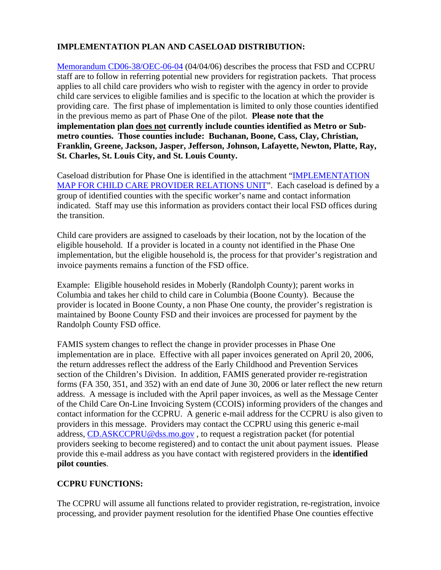### **IMPLEMENTATION PLAN AND CASELOAD DISTRIBUTION:**

[Memorandum CD06-38/OEC-06-04](http://www.dss.mo.gov/cd/info/memos/2006/38/cd0638.pdf) (04/04/06) describes the process that FSD and CCPRU staff are to follow in referring potential new providers for registration packets. That process applies to all child care providers who wish to register with the agency in order to provide child care services to eligible families and is specific to the location at which the provider is providing care. The first phase of implementation is limited to only those counties identified in the previous memo as part of Phase One of the pilot. **Please note that the implementation plan does not currently include counties identified as Metro or Submetro counties. Those counties include: Buchanan, Boone, Cass, Clay, Christian, Franklin, Greene, Jackson, Jasper, Jefferson, Johnson, Lafayette, Newton, Platte, Ray, St. Charles, St. Louis City, and St. Louis County.** 

Caseload distribution for Phase One is identified in the attachment ["IMPLEMENTATION](http://www.dss.mo.gov/cd/info/memos/2006/48/map.ppt)  [MAP FOR CHILD CARE PROVIDER RELATIONS UNIT"](http://www.dss.mo.gov/cd/info/memos/2006/48/map.ppt). Each caseload is defined by a group of identified counties with the specific worker's name and contact information indicated. Staff may use this information as providers contact their local FSD offices during the transition.

Child care providers are assigned to caseloads by their location, not by the location of the eligible household. If a provider is located in a county not identified in the Phase One implementation, but the eligible household is, the process for that provider's registration and invoice payments remains a function of the FSD office.

Example: Eligible household resides in Moberly (Randolph County); parent works in Columbia and takes her child to child care in Columbia (Boone County). Because the provider is located in Boone County, a non Phase One county, the provider's registration is maintained by Boone County FSD and their invoices are processed for payment by the Randolph County FSD office.

FAMIS system changes to reflect the change in provider processes in Phase One implementation are in place. Effective with all paper invoices generated on April 20, 2006, the return addresses reflect the address of the Early Childhood and Prevention Services section of the Children's Division. In addition, FAMIS generated provider re-registration forms (FA 350, 351, and 352) with an end date of June 30, 2006 or later reflect the new return address. A message is included with the April paper invoices, as well as the Message Center of the Child Care On-Line Invoicing System (CCOIS) informing providers of the changes and contact information for the CCPRU. A generic e-mail address for the CCPRU is also given to providers in this message. Providers may contact the CCPRU using this generic e-mail address, CD.ASKCCPRU@dss.mo.gov, to request a registration packet (for potential providers seeking to become registered) and to contact the unit about payment issues. Please provide this e-mail address as you have contact with registered providers in the **identified pilot counties**.

## **CCPRU FUNCTIONS:**

The CCPRU will assume all functions related to provider registration, re-registration, invoice processing, and provider payment resolution for the identified Phase One counties effective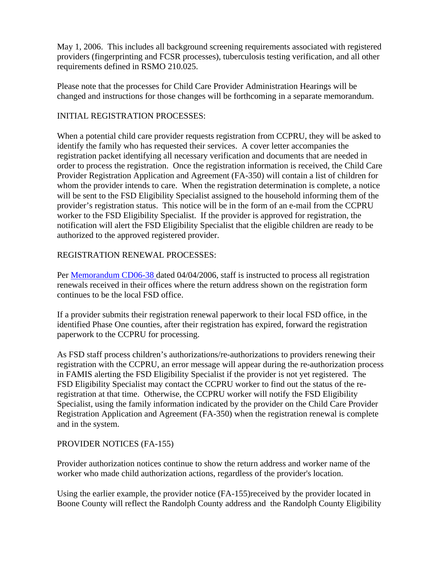May 1, 2006. This includes all background screening requirements associated with registered providers (fingerprinting and FCSR processes), tuberculosis testing verification, and all other requirements defined in RSMO 210.025.

Please note that the processes for Child Care Provider Administration Hearings will be changed and instructions for those changes will be forthcoming in a separate memorandum.

### INITIAL REGISTRATION PROCESSES:

When a potential child care provider requests registration from CCPRU, they will be asked to identify the family who has requested their services. A cover letter accompanies the registration packet identifying all necessary verification and documents that are needed in order to process the registration. Once the registration information is received, the Child Care Provider Registration Application and Agreement (FA-350) will contain a list of children for whom the provider intends to care. When the registration determination is complete, a notice will be sent to the FSD Eligibility Specialist assigned to the household informing them of the provider's registration status. This notice will be in the form of an e-mail from the CCPRU worker to the FSD Eligibility Specialist. If the provider is approved for registration, the notification will alert the FSD Eligibility Specialist that the eligible children are ready to be authorized to the approved registered provider.

#### REGISTRATION RENEWAL PROCESSES:

Per [Memorandum CD06-38 d](http://www.dss.mo.gov/cd/info/memos/2006/38/cd0638.pdf)ated 04/04/2006, staff is instructed to process all registration renewals received in their offices where the return address shown on the registration form continues to be the local FSD office.

If a provider submits their registration renewal paperwork to their local FSD office, in the identified Phase One counties, after their registration has expired, forward the registration paperwork to the CCPRU for processing.

As FSD staff process children's authorizations/re-authorizations to providers renewing their registration with the CCPRU, an error message will appear during the re-authorization process in FAMIS alerting the FSD Eligibility Specialist if the provider is not yet registered. The FSD Eligibility Specialist may contact the CCPRU worker to find out the status of the reregistration at that time. Otherwise, the CCPRU worker will notify the FSD Eligibility Specialist, using the family information indicated by the provider on the Child Care Provider Registration Application and Agreement (FA-350) when the registration renewal is complete and in the system.

### PROVIDER NOTICES (FA-155)

Provider authorization notices continue to show the return address and worker name of the worker who made child authorization actions, regardless of the provider's location.

Using the earlier example, the provider notice (FA-155)received by the provider located in Boone County will reflect the Randolph County address and the Randolph County Eligibility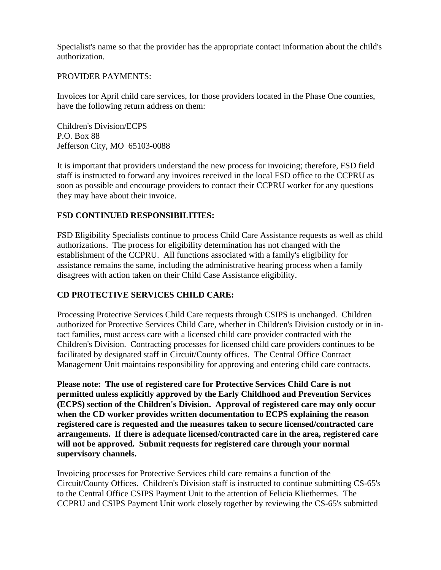Specialist's name so that the provider has the appropriate contact information about the child's authorization.

#### PROVIDER PAYMENTS:

Invoices for April child care services, for those providers located in the Phase One counties, have the following return address on them:

Children's Division/ECPS P.O. Box 88 Jefferson City, MO 65103-0088

It is important that providers understand the new process for invoicing; therefore, FSD field staff is instructed to forward any invoices received in the local FSD office to the CCPRU as soon as possible and encourage providers to contact their CCPRU worker for any questions they may have about their invoice.

### **FSD CONTINUED RESPONSIBILITIES:**

FSD Eligibility Specialists continue to process Child Care Assistance requests as well as child authorizations. The process for eligibility determination has not changed with the establishment of the CCPRU. All functions associated with a family's eligibility for assistance remains the same, including the administrative hearing process when a family disagrees with action taken on their Child Case Assistance eligibility.

### **CD PROTECTIVE SERVICES CHILD CARE:**

Processing Protective Services Child Care requests through CSIPS is unchanged. Children authorized for Protective Services Child Care, whether in Children's Division custody or in intact families, must access care with a licensed child care provider contracted with the Children's Division. Contracting processes for licensed child care providers continues to be facilitated by designated staff in Circuit/County offices. The Central Office Contract Management Unit maintains responsibility for approving and entering child care contracts.

**Please note: The use of registered care for Protective Services Child Care is not permitted unless explicitly approved by the Early Childhood and Prevention Services (ECPS) section of the Children's Division. Approval of registered care may only occur when the CD worker provides written documentation to ECPS explaining the reason registered care is requested and the measures taken to secure licensed/contracted care arrangements. If there is adequate licensed/contracted care in the area, registered care will not be approved. Submit requests for registered care through your normal supervisory channels.** 

Invoicing processes for Protective Services child care remains a function of the Circuit/County Offices. Children's Division staff is instructed to continue submitting CS-65's to the Central Office CSIPS Payment Unit to the attention of Felicia Kliethermes. The CCPRU and CSIPS Payment Unit work closely together by reviewing the CS-65's submitted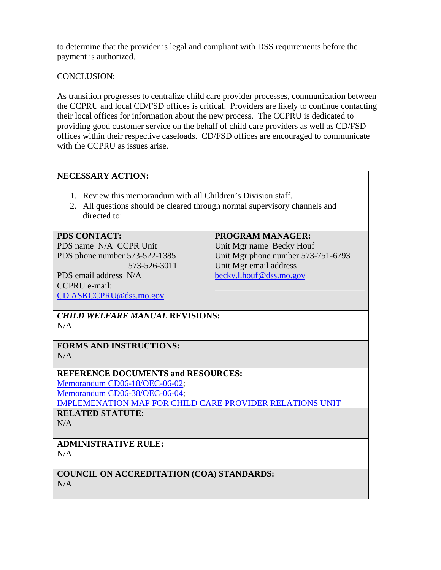to determine that the provider is legal and compliant with DSS requirements before the payment is authorized.

CONCLUSION:

As transition progresses to centralize child care provider processes, communication between the CCPRU and local CD/FSD offices is critical. Providers are likely to continue contacting their local offices for information about the new process. The CCPRU is dedicated to providing good customer service on the behalf of child care providers as well as CD/FSD offices within their respective caseloads. CD/FSD offices are encouraged to communicate with the CCPRU as issues arise.

### **NECESSARY ACTION:**

- 1. Review this memorandum with all Children's Division staff.
- 2. All questions should be cleared through normal supervisory channels and directed to:

#### **PDS CONTACT:**

PDS name N/A CCPR Unit PDS phone number 573-522-1385

 573-526-3011 PDS email address N/A CCPRU e-mail: [CD.ASKCCPRU@dss.mo.gov](mailto:CD.ASKCCPRU@dss.mo.gov) 

## **PROGRAM MANAGER:**

Unit Mgr name Becky Houf Unit Mgr phone number 573-751-6793 Unit Mgr email address [becky.l.houf@dss.mo.gov](mailto:becky.l.houf@dss.mo.gov)

*CHILD WELFARE MANUAL* **REVISIONS:**  N/A.

**FORMS AND INSTRUCTIONS:**   $N/A$ .

### **REFERENCE DOCUMENTS and RESOURCES:**

[Memorandum CD06-18/OEC-06-02](http://www.dss.mo.gov/cd/info/memos/2006/18/cd0618.pdf); [Memorandum CD06-38/OEC-06-04](http://www.dss.mo.gov/cd/info/memos/2006/38/cd0638.pdf); [IMPLEMENATION MAP FOR CHILD CARE PROVIDER RELATIONS UNIT](http://www.dss.mo.gov/cd/info/memos/2006/48/map.ppt) **RELATED STATUTE:** 

 $N/A$ 

**ADMINISTRATIVE RULE:**   $N/A$ 

**COUNCIL ON ACCREDITATION (COA) STANDARDS:**  N/A